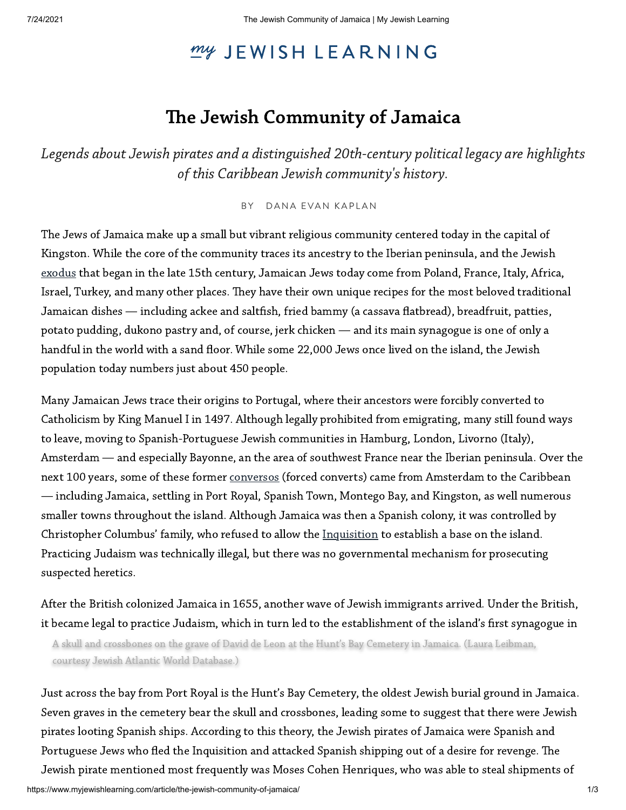# my JEWISH LEARNING

# The Jewish Community of Jamaica

Legends about Jewish pirates and a distinguished 20th-century political legacy are highlights<br>of this Caribbean Jewish community's history.

## BY [DANA](https://www.myjewishlearning.com/author/dana-evan-kaplan/) EVAN KAPLAN

The Jews of Jamaica make up a small but vibrant religious community centered today in the capital of Kingston. While the core of the community traces its ancestry to the Iberian peninsula, and the Jewish [exodus](https://www.myjewishlearning.com/article/jewish-expulsion-from-portugal/) that began in the late 15th century, Jamaican Jews today come from Poland, France, Italy, Africa, Israel, Turkey, and many other places. They have their own unique recipes for the most beloved traditional Jamaican dishes — including ackee and saltfish, fried bammy (a cassava flatbread), breadfruit, patties, potato pudding, dukono pastry and, of course, jerk chicken — and its main synagogue is one of only a handful in the world with a sand floor. While some 22,000 Jews once lived on the island, the Jewish population today numbers just about 450 people.

Many Jamaican Jews trace their origins to Portugal, where their ancestors were forcibly converted to Catholicism by King Manuel I in 1497. Although legally prohibited from emigrating, many still found ways to leave, moving to Spanish-Portuguese Jewish communities in Hamburg, London, Livorno (Italy), Amsterdam — and especially Bayonne, an the area of southwest France near the Iberian peninsula. Over the next 100 years, some of these former [conversos](https://www.myjewishlearning.com/article/crypto-jews/) (forced converts) came from Amsterdam to the Caribbean — including Jamaica, settling in Port Royal, Spanish Town, Montego Bay, and Kingston, as well numerous smaller towns throughout the island. Although Jamaica was then a Spanish colony, it was controlled by Christopher Columbus' family, who refused to allow the [Inquisition](https://www.myjewishlearning.com/article/inquisition-in-spain/) to establish a base on the island. Practicing Judaism was technically illegal, but there was no governmental mechanism for prosecuting suspected heretics.

After the British colonized Jamaica in 1655, another wave of Jewish immigrants arrived. Under the British, it became legal to practice Judaism, which in turn led to the establishment of the island's first synagogue in

A skull and crossbones on the grave of David de Leon at the Hunt's Bay Cemetery in Jamaica. (Laura Leibman, courtesy Jewish Atlantic World Database.)

Just across the bay from Port Royal is the Hunt's Bay Cemetery, the oldest Jewish burial ground in Jamaica. Seven graves in the cemetery bear the skull and crossbones, leading some to suggest that there were Jewish pirates looting Spanish ships. According to this theory, the Jewish pirates of Jamaica were Spanish and Portuguese Jews who fled the Inquisition and attacked Spanish shipping out of a desire for revenge. The Jewish pirate mentioned most frequently was Moses Cohen Henriques, who was able to steal shipments of

https://www.myjewishlearning.com/article/the-jewish-community-of-jamaica/ 1/3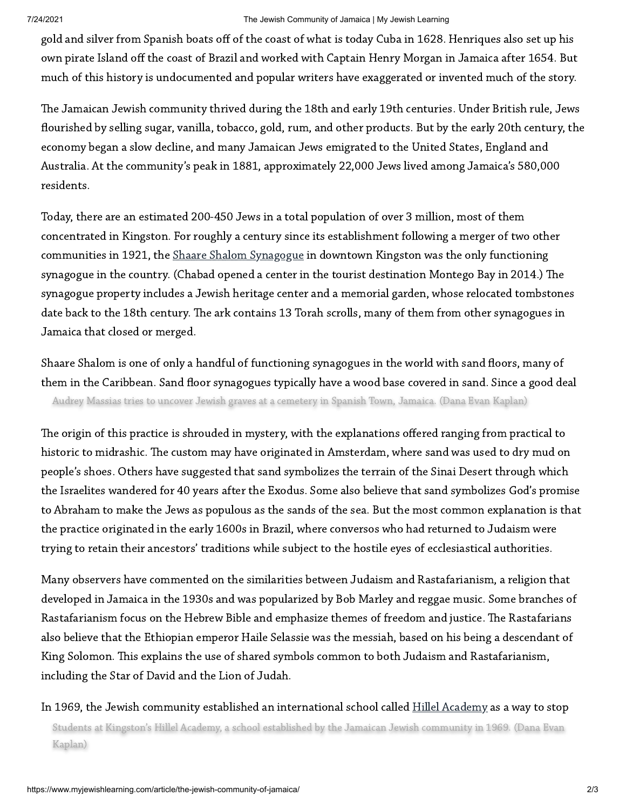#### 7/24/2021 The Jewish Community of Jamaica | My Jewish Learning

gold and silver from Spanish boats off of the coast of what is today Cuba in 1628. Henriques also set up his own pirate Island off the coast of Brazil and worked with Captain Henry Morgan in Jamaica after 1654. But much of this history is undocumented and popular writers have exaggerated or invented much of the story.

The Jamaican Jewish community thrived during the 18th and early 19th centuries. Under British rule, Jews flourished by selling sugar, vanilla, tobacco, gold, rum, and other products. But by the early 20th century, the economy began a slow decline, and many Jamaican Jews emigrated to the United States, England and Australia. At the community's peak in 1881, approximately 22,000 Jews lived among Jamaica's 580,000 residents.

Today, there are an estimated 200-450 Jews in a total population of over 3 million, most of them concentrated in Kingston. For roughly a century since its establishment following a merger of two other communities in 1921, the Shaare Shalom [Synagogue](http://www.jewsofjamaica.com/) in downtown Kingston was the only functioning synagogue in the country. (Chabad opened a center in the tourist destination Montego Bay in 2014.) The synagogue property includes a Jewish heritage center and a memorial garden, whose relocated tombstones date back to the 18th century. The ark contains 13 Torah scrolls, many of them from other synagogues in Jamaica that closed or merged.

Shaare Shalom is one of only a handful of functioning synagogues in the world with sand floors, many of them in the Caribbean. Sand floor synagogues typically have a wood base covered in sand. Since a good deal Audrey Massias tries to uncover Jewish graves at a cemetery in Spanish Town, Jamaica. (Dana Evan Kaplan)

The origin of this practice is shrouded in mystery, with the explanations offered ranging from practical to historic to midrashic. The custom may have originated in Amsterdam, where sand was used to dry mud on people's shoes. Others have suggested that sand symbolizes the terrain of the Sinai Desert through which the Israelites wandered for 40 years after the Exodus. Some also believe that sand symbolizes God's promise to Abraham to make the Jews as populous as the sands of the sea. But the most common explanation is that the practice originated in the early 1600s in Brazil, where conversos who had returned to Judaism were trying to retain their ancestors' traditions while subject to the hostile eyes of ecclesiastical authorities.

Many observers have commented on the similarities between Judaism and Rastafarianism, a religion that developed in Jamaica in the 1930s and was popularized by Bob Marley and reggae music. Some branches of Rastafarianism focus on the Hebrew Bible and emphasize themes of freedom and justice. The Rastafarians also believe that the Ethiopian emperor Haile Selassie was the messiah, based on his being a descendant of King Solomon. This explains the use of shared symbols common to both Judaism and Rastafarianism, including the Star of David and the Lion of Judah.

In 1969, the Jewish community established an international school called Hillel [Academy](https://hillelacademyjm.com/) as a way to stop Students at Kingston's Hillel Academy, a school established by the Jamaican Jewish community in 1969. (Dana Evan Jamaica's largest international school, with 700 students from over 40 countries. Kaplan)